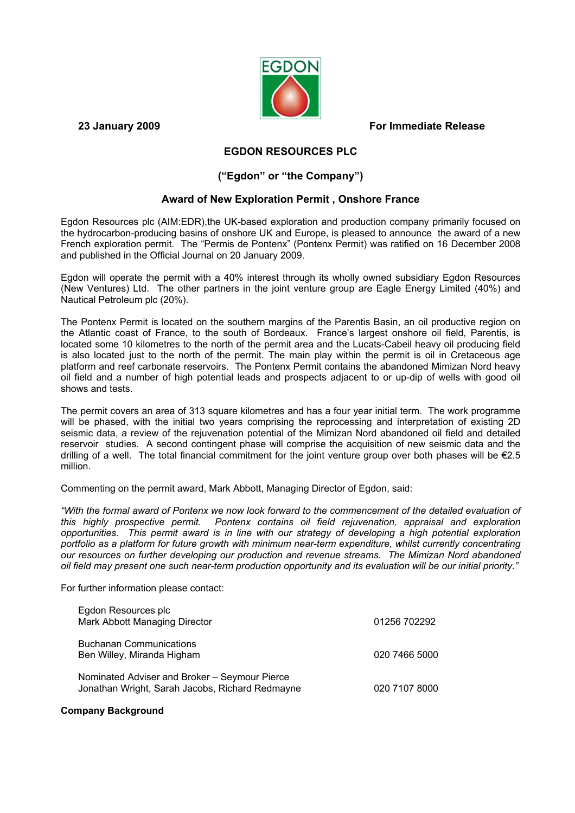

**23 January 2009 For Immediate Release** 

# **EGDON RESOURCES PLC**

## **("Egdon" or "the Company")**

## **Award of New Exploration Permit , Onshore France**

Egdon Resources plc (AIM:EDR),the UK-based exploration and production company primarily focused on the hydrocarbon-producing basins of onshore UK and Europe, is pleased to announce the award of a new French exploration permit. The "Permis de Pontenx" (Pontenx Permit) was ratified on 16 December 2008 and published in the Official Journal on 20 January 2009.

Egdon will operate the permit with a 40% interest through its wholly owned subsidiary Egdon Resources (New Ventures) Ltd. The other partners in the joint venture group are Eagle Energy Limited (40%) and Nautical Petroleum plc (20%).

The Pontenx Permit is located on the southern margins of the Parentis Basin, an oil productive region on the Atlantic coast of France, to the south of Bordeaux. France's largest onshore oil field, Parentis, is located some 10 kilometres to the north of the permit area and the Lucats-Cabeil heavy oil producing field is also located just to the north of the permit. The main play within the permit is oil in Cretaceous age platform and reef carbonate reservoirs. The Pontenx Permit contains the abandoned Mimizan Nord heavy oil field and a number of high potential leads and prospects adjacent to or up-dip of wells with good oil shows and tests.

The permit covers an area of 313 square kilometres and has a four year initial term. The work programme will be phased, with the initial two years comprising the reprocessing and interpretation of existing 2D seismic data, a review of the rejuvenation potential of the Mimizan Nord abandoned oil field and detailed reservoir studies. A second contingent phase will comprise the acquisition of new seismic data and the drilling of a well. The total financial commitment for the joint venture group over both phases will be €2.5 million.

Commenting on the permit award, Mark Abbott, Managing Director of Egdon, said:

"With the formal award of Pontenx we now look forward to the commencement of the detailed evaluation of *this highly prospective permit. Pontenx contains oil field rejuvenation, appraisal and exploration opportunities. This permit award is in line with our strategy of developing a high potential exploration portfolio as a platform for future growth with minimum near-term expenditure, whilst currently concentrating our resources on further developing our production and revenue streams. The Mimizan Nord abandoned oil field may present one such near-term production opportunity and its evaluation will be our initial priority."* 

For further information please contact:

| Egdon Resources plc<br>Mark Abbott Managing Director                                             | 01256 702292  |
|--------------------------------------------------------------------------------------------------|---------------|
| <b>Buchanan Communications</b><br>Ben Willey, Miranda Higham                                     | 020 7466 5000 |
| Nominated Adviser and Broker - Seymour Pierce<br>Jonathan Wright, Sarah Jacobs, Richard Redmayne | 020 7107 8000 |

### **Company Background**